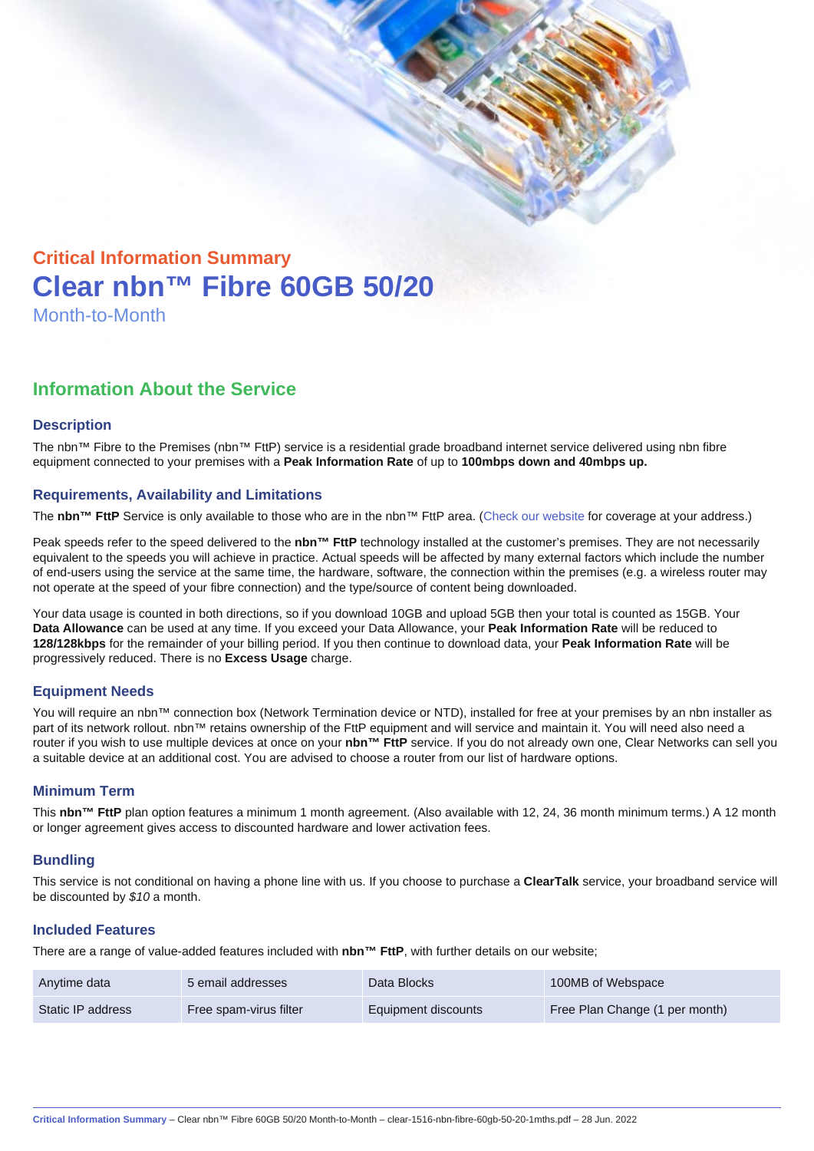# Critical Information Summary Clear nbn™ Fibre 60GB 50/20 Month-to-Month

## Information About the Service

#### **Description**

The nbn™ Fibre to the Premises (nbn™ FttP) service is a residential grade broadband internet service delivered using nbn fibre equipment connected to your premises with a Peak Information Rate of up to 100mbps down and 40mbps up.

#### Requirements, Availability and Limitations

The nbn™ FttP Service is only available to those who are in the nbn™ FttP area. ([Check our website](https://www.clear.com.au/residential/nbn-fixed/) for coverage at your address.)

Peak speeds refer to the speed delivered to the nbn™ FttP technology installed at the customer's premises. They are not necessarily equivalent to the speeds you will achieve in practice. Actual speeds will be affected by many external factors which include the number of end-users using the service at the same time, the hardware, software, the connection within the premises (e.g. a wireless router may not operate at the speed of your fibre connection) and the type/source of content being downloaded.

Your data usage is counted in both directions, so if you download 10GB and upload 5GB then your total is counted as 15GB. Your Data Allowance can be used at any time. If you exceed your Data Allowance, your Peak Information Rate will be reduced to 128/128kbps for the remainder of your billing period. If you then continue to download data, your Peak Information Rate will be progressively reduced. There is no Excess Usage charge.

#### Equipment Needs

You will require an nbn™ connection box (Network Termination device or NTD), installed for free at your premises by an nbn installer as part of its network rollout. nbn™ retains ownership of the FttP equipment and will service and maintain it. You will need also need a router if you wish to use multiple devices at once on your nbn™ FttP service. If you do not already own one, Clear Networks can sell you a suitable device at an additional cost. You are advised to choose a router from our list of hardware options.

#### Minimum Term

This nbn™ FttP plan option features a minimum 1 month agreement. (Also available with 12, 24, 36 month minimum terms.) A 12 month or longer agreement gives access to discounted hardware and lower activation fees.

#### **Bundling**

This service is not conditional on having a phone line with us. If you choose to purchase a ClearTalk service, your broadband service will be discounted by \$10 a month.

#### Included Features

There are a range of value-added features included with nbn™ FttP , with further details on our website;

| Anytime data      | 5 email addresses      | Data Blocks         | 100MB of Webspace              |
|-------------------|------------------------|---------------------|--------------------------------|
| Static IP address | Free spam-virus filter | Equipment discounts | Free Plan Change (1 per month) |